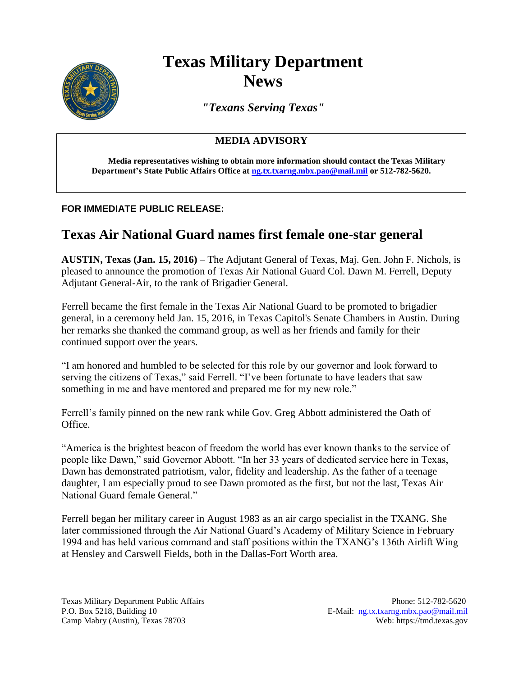

# **Texas Military Department News**

*"Texans Serving Texas"*

### **MEDIA ADVISORY**

**Media representatives wishing to obtain more information should contact the Texas Military Department's State Public Affairs Office a[t ng.tx.txarng.mbx.pao@mail.mil](mailto:ng.tx.txarng.mbx.pao@mail.mil) or 512-782-5620.**

#### **FOR IMMEDIATE PUBLIC RELEASE:**

## **Texas Air National Guard names first female one-star general**

**AUSTIN, Texas (Jan. 15, 2016)** – The Adjutant General of Texas, Maj. Gen. John F. Nichols, is pleased to announce the promotion of Texas Air National Guard Col. Dawn M. Ferrell, Deputy Adjutant General-Air, to the rank of Brigadier General.

Ferrell became the first female in the Texas Air National Guard to be promoted to brigadier general, in a ceremony held Jan. 15, 2016, in Texas Capitol's Senate Chambers in Austin. During her remarks she thanked the command group, as well as her friends and family for their continued support over the years.

"I am honored and humbled to be selected for this role by our governor and look forward to serving the citizens of Texas," said Ferrell. "I've been fortunate to have leaders that saw something in me and have mentored and prepared me for my new role."

Ferrell's family pinned on the new rank while Gov. Greg Abbott administered the Oath of Office.

"America is the brightest beacon of freedom the world has ever known thanks to the service of people like Dawn," said Governor Abbott. "In her 33 years of dedicated service here in Texas, Dawn has demonstrated patriotism, valor, fidelity and leadership. As the father of a teenage daughter, I am especially proud to see Dawn promoted as the first, but not the last, Texas Air National Guard female General."

Ferrell began her military career in August 1983 as an air cargo specialist in the TXANG. She later commissioned through the Air National Guard's Academy of Military Science in February 1994 and has held various command and staff positions within the TXANG's 136th Airlift Wing at Hensley and Carswell Fields, both in the Dallas-Fort Worth area.